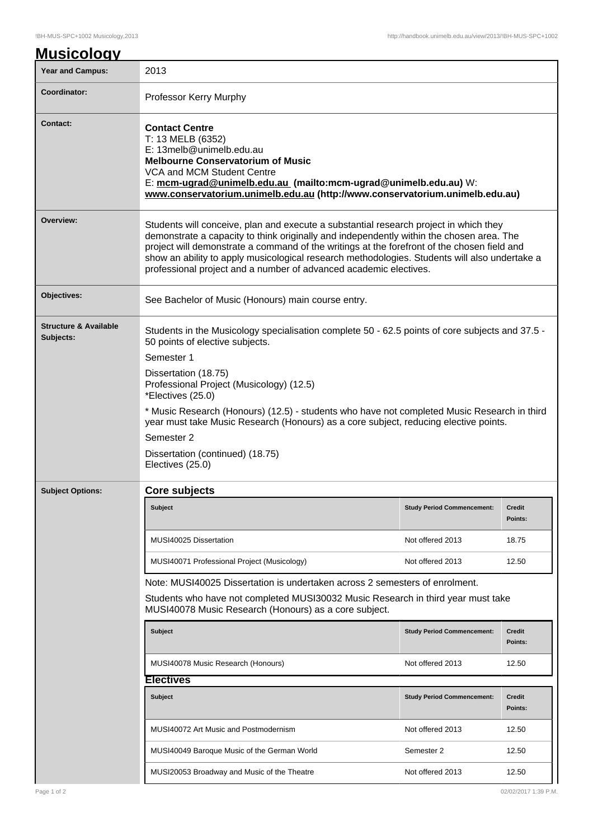| <b>Year and Campus:</b>                       | 2013                                                                                                                                                                                                                                                                                                                                                                                                                                                   |                                   |                          |  |
|-----------------------------------------------|--------------------------------------------------------------------------------------------------------------------------------------------------------------------------------------------------------------------------------------------------------------------------------------------------------------------------------------------------------------------------------------------------------------------------------------------------------|-----------------------------------|--------------------------|--|
| Coordinator:                                  | Professor Kerry Murphy                                                                                                                                                                                                                                                                                                                                                                                                                                 |                                   |                          |  |
| Contact:                                      | <b>Contact Centre</b><br>T: 13 MELB (6352)<br>E: 13melb@unimelb.edu.au<br><b>Melbourne Conservatorium of Music</b><br>VCA and MCM Student Centre<br>E: mcm-ugrad@unimelb.edu.au (mailto:mcm-ugrad@unimelb.edu.au) W:<br>www.conservatorium.unimelb.edu.au (http://www.conservatorium.unimelb.edu.au)                                                                                                                                                   |                                   |                          |  |
| Overview:                                     | Students will conceive, plan and execute a substantial research project in which they<br>demonstrate a capacity to think originally and independently within the chosen area. The<br>project will demonstrate a command of the writings at the forefront of the chosen field and<br>show an ability to apply musicological research methodologies. Students will also undertake a<br>professional project and a number of advanced academic electives. |                                   |                          |  |
| Objectives:                                   | See Bachelor of Music (Honours) main course entry.                                                                                                                                                                                                                                                                                                                                                                                                     |                                   |                          |  |
| <b>Structure &amp; Available</b><br>Subjects: | Students in the Musicology specialisation complete 50 - 62.5 points of core subjects and 37.5 -<br>50 points of elective subjects.<br>Semester 1                                                                                                                                                                                                                                                                                                       |                                   |                          |  |
|                                               | Dissertation (18.75)<br>Professional Project (Musicology) (12.5)<br>*Electives (25.0)                                                                                                                                                                                                                                                                                                                                                                  |                                   |                          |  |
|                                               | * Music Research (Honours) (12.5) - students who have not completed Music Research in third<br>year must take Music Research (Honours) as a core subject, reducing elective points.<br>Semester 2                                                                                                                                                                                                                                                      |                                   |                          |  |
|                                               | Dissertation (continued) (18.75)<br>Electives (25.0)                                                                                                                                                                                                                                                                                                                                                                                                   |                                   |                          |  |
| <b>Subject Options:</b>                       | Core subjects                                                                                                                                                                                                                                                                                                                                                                                                                                          |                                   |                          |  |
|                                               | Subject                                                                                                                                                                                                                                                                                                                                                                                                                                                | <b>Study Period Commencement:</b> | <b>Credit</b><br>Points: |  |
|                                               | MUSI40025 Dissertation                                                                                                                                                                                                                                                                                                                                                                                                                                 | Not offered 2013                  | 18.75                    |  |
|                                               | MUSI40071 Professional Project (Musicology)                                                                                                                                                                                                                                                                                                                                                                                                            | Not offered 2013                  | 12.50                    |  |
|                                               | Note: MUSI40025 Dissertation is undertaken across 2 semesters of enrolment.                                                                                                                                                                                                                                                                                                                                                                            |                                   |                          |  |
|                                               | Students who have not completed MUSI30032 Music Research in third year must take<br>MUSI40078 Music Research (Honours) as a core subject.                                                                                                                                                                                                                                                                                                              |                                   |                          |  |
|                                               | <b>Subject</b>                                                                                                                                                                                                                                                                                                                                                                                                                                         | <b>Study Period Commencement:</b> | <b>Credit</b><br>Points: |  |
|                                               | MUSI40078 Music Research (Honours)                                                                                                                                                                                                                                                                                                                                                                                                                     | Not offered 2013                  | 12.50                    |  |
|                                               | <b>Electives</b>                                                                                                                                                                                                                                                                                                                                                                                                                                       |                                   |                          |  |
|                                               | <b>Subject</b>                                                                                                                                                                                                                                                                                                                                                                                                                                         | <b>Study Period Commencement:</b> | <b>Credit</b><br>Points: |  |
|                                               |                                                                                                                                                                                                                                                                                                                                                                                                                                                        |                                   |                          |  |
|                                               | MUSI40072 Art Music and Postmodernism                                                                                                                                                                                                                                                                                                                                                                                                                  | Not offered 2013                  | 12.50                    |  |
|                                               | MUSI40049 Baroque Music of the German World                                                                                                                                                                                                                                                                                                                                                                                                            | Semester 2                        | 12.50                    |  |